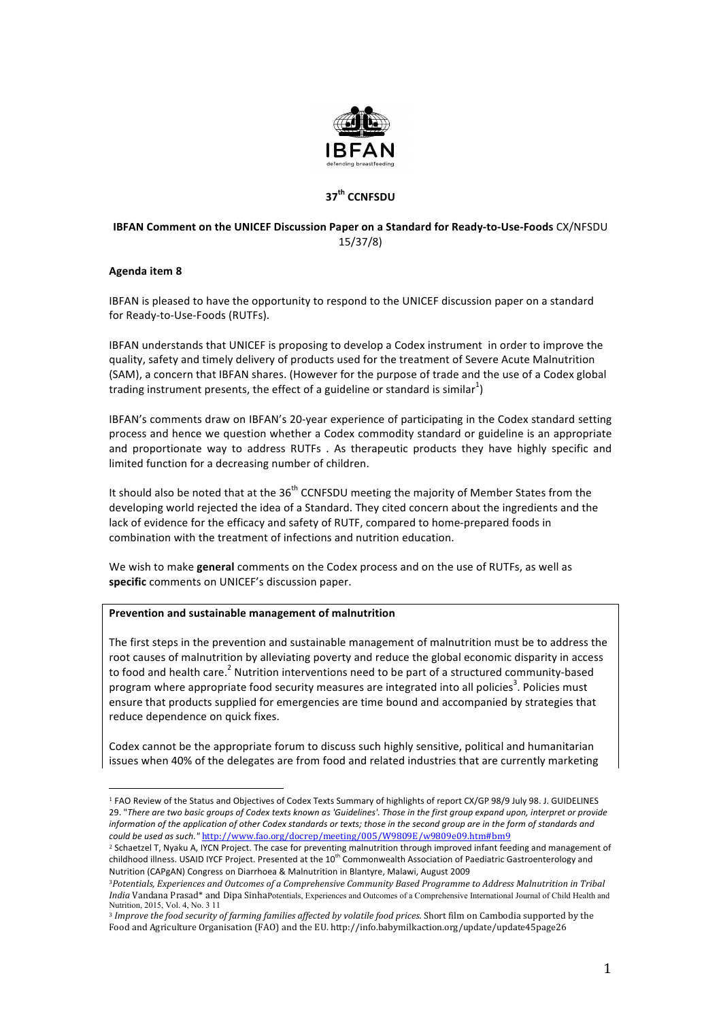

# **37th CCNFSDU**

# **IBFAN Comment on the UNICEF Discussion Paper on a Standard for Ready-to-Use-Foods** CX/NFSDU 15/37/8)

### **Agenda item 8**

IBFAN is pleased to have the opportunity to respond to the UNICEF discussion paper on a standard for Ready-to-Use-Foods (RUTFs).

IBFAN understands that UNICEF is proposing to develop a Codex instrument in order to improve the quality, safety and timely delivery of products used for the treatment of Severe Acute Malnutrition (SAM), a concern that IBFAN shares. (However for the purpose of trade and the use of a Codex global trading instrument presents, the effect of a guideline or standard is similar<sup>1</sup>)

IBFAN's comments draw on IBFAN's 20-year experience of participating in the Codex standard setting process and hence we question whether a Codex commodity standard or guideline is an appropriate and proportionate way to address RUTFs . As therapeutic products they have highly specific and limited function for a decreasing number of children.

It should also be noted that at the  $36<sup>th</sup>$  CCNFSDU meeting the majority of Member States from the developing world rejected the idea of a Standard. They cited concern about the ingredients and the lack of evidence for the efficacy and safety of RUTF, compared to home-prepared foods in combination with the treatment of infections and nutrition education.

We wish to make **general** comments on the Codex process and on the use of RUTFs, as well as specific comments on UNICEF's discussion paper.

#### **Prevention and sustainable management of malnutrition**

 

The first steps in the prevention and sustainable management of malnutrition must be to address the root causes of malnutrition by alleviating poverty and reduce the global economic disparity in access to food and health care.<sup>2</sup> Nutrition interventions need to be part of a structured community-based program where appropriate food security measures are integrated into all policies<sup>3</sup>. Policies must ensure that products supplied for emergencies are time bound and accompanied by strategies that reduce dependence on quick fixes.

Codex cannot be the appropriate forum to discuss such highly sensitive, political and humanitarian issues when 40% of the delegates are from food and related industries that are currently marketing

<sup>1</sup> FAO Review of the Status and Objectives of Codex Texts Summary of highlights of report CX/GP 98/9 July 98. J. GUIDELINES 29. "There are two basic groups of Codex texts known as 'Guidelines'. Those in the first group expand upon, interpret or provide information of the application of other Codex standards or texts; those in the second group are in the form of standards and *could be used as such."* http://www.fao.org/docrep/meeting/005/W9809E/w9809e09.htm#bm9

<sup>&</sup>lt;sup>2</sup> Schaetzel T, Nyaku A, IYCN Project. The case for preventing malnutrition through improved infant feeding and management of childhood illness. USAID IYCF Project. Presented at the 10<sup>th</sup> Commonwealth Association of Paediatric Gastroenterology and Nutrition (CAPgAN) Congress on Diarrhoea & Malnutrition in Blantyre, Malawi, August 2009

<sup>3</sup>*Potentials, Experiences and Outcomes of a Comprehensive Community Based Programme to Address Malnutrition in Tribal India* Vandana Prasad\* and Dipa SinhaPotentials, Experiences and Outcomes of a Comprehensive International Journal of Child Health and Nutrition, 2015, Vol. 4, No. 3 11

<sup>3</sup> *Improve the food security of farming families affected by volatile food prices.* Short film on Cambodia supported by the Food and Agriculture Organisation (FAO) and the EU. http://info.babymilkaction.org/update/update45page26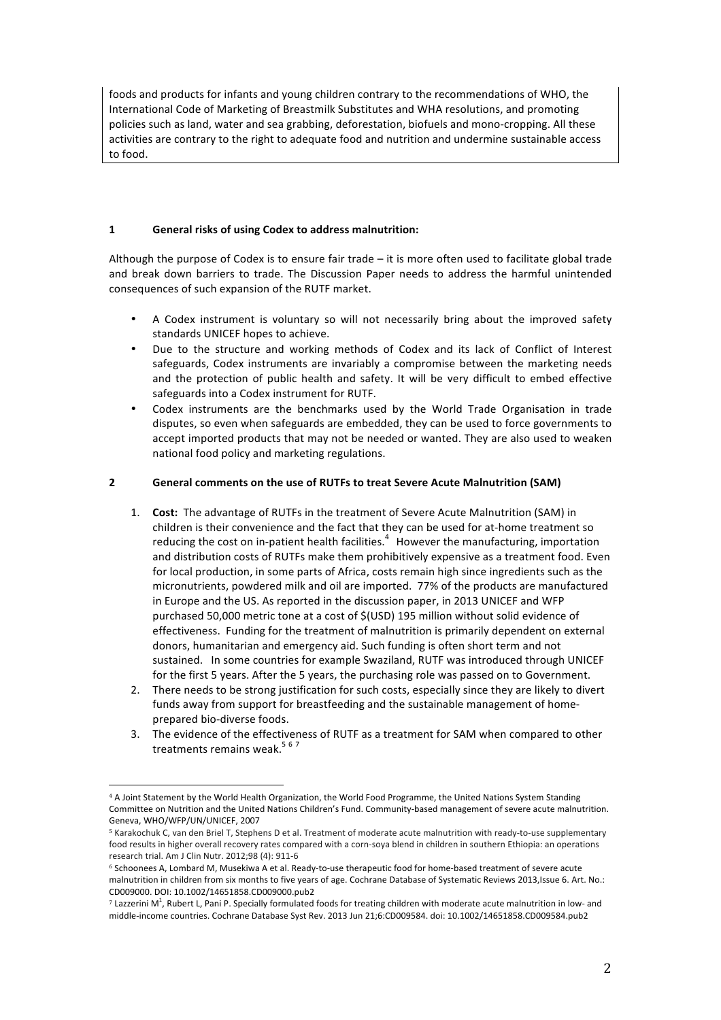foods and products for infants and young children contrary to the recommendations of WHO, the International Code of Marketing of Breastmilk Substitutes and WHA resolutions, and promoting policies such as land, water and sea grabbing, deforestation, biofuels and mono-cropping. All these activities are contrary to the right to adequate food and nutrition and undermine sustainable access to food.

## 1 **General risks of using Codex to address malnutrition:**

Although the purpose of Codex is to ensure fair trade  $-$  it is more often used to facilitate global trade and break down barriers to trade. The Discussion Paper needs to address the harmful unintended consequences of such expansion of the RUTF market.

- A Codex instrument is voluntary so will not necessarily bring about the improved safety standards UNICEF hopes to achieve.
- Due to the structure and working methods of Codex and its lack of Conflict of Interest safeguards, Codex instruments are invariably a compromise between the marketing needs and the protection of public health and safety. It will be very difficult to embed effective safeguards into a Codex instrument for RUTF.
- Codex instruments are the benchmarks used by the World Trade Organisation in trade disputes, so even when safeguards are embedded, they can be used to force governments to accept imported products that may not be needed or wanted. They are also used to weaken national food policy and marketing regulations.

# **2 General comments on the use of RUTFs to treat Severe Acute Malnutrition (SAM)**

- 1. **Cost:** The advantage of RUTFs in the treatment of Severe Acute Malnutrition (SAM) in children is their convenience and the fact that they can be used for at-home treatment so reducing the cost on in-patient health facilities.<sup>4</sup> However the manufacturing, importation and distribution costs of RUTFs make them prohibitively expensive as a treatment food. Even for local production, in some parts of Africa, costs remain high since ingredients such as the micronutrients, powdered milk and oil are imported. 77% of the products are manufactured in Europe and the US. As reported in the discussion paper, in 2013 UNICEF and WFP purchased 50,000 metric tone at a cost of \$(USD) 195 million without solid evidence of effectiveness. Funding for the treatment of malnutrition is primarily dependent on external donors, humanitarian and emergency aid. Such funding is often short term and not sustained. In some countries for example Swaziland, RUTF was introduced through UNICEF for the first 5 years. After the 5 years, the purchasing role was passed on to Government.
- 2. There needs to be strong justification for such costs, especially since they are likely to divert funds away from support for breastfeeding and the sustainable management of homeprepared bio-diverse foods.
- 3. The evidence of the effectiveness of RUTF as a treatment for SAM when compared to other treatments remains weak.<sup>567</sup>

 <sup>4</sup> A Joint Statement by the World Health Organization, the World Food Programme, the United Nations System Standing Committee on Nutrition and the United Nations Children's Fund. Community-based management of severe acute malnutrition. Geneva, WHO/WFP/UN/UNICEF, 2007

<sup>5</sup> Karakochuk C, van den Briel T, Stephens D et al. Treatment of moderate acute malnutrition with ready-to-use supplementary food results in higher overall recovery rates compared with a corn-soya blend in children in southern Ethiopia: an operations research trial. Am J Clin Nutr. 2012;98 (4): 911-6

<sup>&</sup>lt;sup>6</sup> Schoonees A, Lombard M, Musekiwa A et al. Ready-to-use therapeutic food for home-based treatment of severe acute malnutrition in children from six months to five years of age. Cochrane Database of Systematic Reviews 2013,Issue 6. Art. No.: CD009000. DOI: 10.1002/14651858.CD009000.pub2

 $^7$  Lazzerini M<sup>1</sup>, Rubert L, Pani P. Specially formulated foods for treating children with moderate acute malnutrition in low- and middle-income countries. Cochrane Database Syst Rev. 2013 Jun 21;6:CD009584. doi: 10.1002/14651858.CD009584.pub2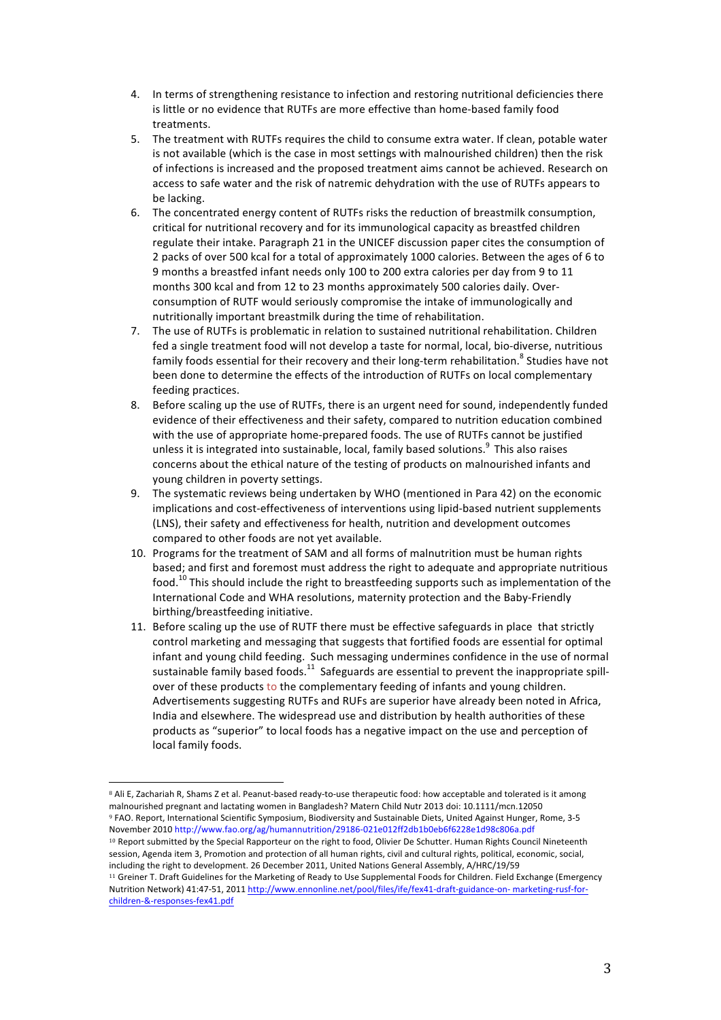- 4. In terms of strengthening resistance to infection and restoring nutritional deficiencies there is little or no evidence that RUTFs are more effective than home-based family food treatments.
- 5. The treatment with RUTFs requires the child to consume extra water. If clean, potable water is not available (which is the case in most settings with malnourished children) then the risk of infections is increased and the proposed treatment aims cannot be achieved. Research on access to safe water and the risk of natremic dehydration with the use of RUTFs appears to be lacking.
- 6. The concentrated energy content of RUTFs risks the reduction of breastmilk consumption, critical for nutritional recovery and for its immunological capacity as breastfed children regulate their intake. Paragraph 21 in the UNICEF discussion paper cites the consumption of 2 packs of over 500 kcal for a total of approximately 1000 calories. Between the ages of 6 to 9 months a breastfed infant needs only 100 to 200 extra calories per day from 9 to 11 months 300 kcal and from 12 to 23 months approximately 500 calories daily. Overconsumption of RUTF would seriously compromise the intake of immunologically and nutritionally important breastmilk during the time of rehabilitation.
- 7. The use of RUTFs is problematic in relation to sustained nutritional rehabilitation. Children fed a single treatment food will not develop a taste for normal, local, bio-diverse, nutritious family foods essential for their recovery and their long-term rehabilitation.<sup>8</sup> Studies have not been done to determine the effects of the introduction of RUTFs on local complementary feeding practices.
- 8. Before scaling up the use of RUTFs, there is an urgent need for sound, independently funded evidence of their effectiveness and their safety, compared to nutrition education combined with the use of appropriate home-prepared foods. The use of RUTFs cannot be justified unless it is integrated into sustainable, local, family based solutions. $^9$  This also raises concerns about the ethical nature of the testing of products on malnourished infants and young children in poverty settings.
- 9. The systematic reviews being undertaken by WHO (mentioned in Para 42) on the economic implications and cost-effectiveness of interventions using lipid-based nutrient supplements (LNS), their safety and effectiveness for health, nutrition and development outcomes compared to other foods are not yet available.
- 10. Programs for the treatment of SAM and all forms of malnutrition must be human rights based; and first and foremost must address the right to adequate and appropriate nutritious food.<sup>10</sup> This should include the right to breastfeeding supports such as implementation of the International Code and WHA resolutions, maternity protection and the Baby-Friendly birthing/breastfeeding initiative.
- 11. Before scaling up the use of RUTF there must be effective safeguards in place that strictly control marketing and messaging that suggests that fortified foods are essential for optimal infant and young child feeding. Such messaging undermines confidence in the use of normal sustainable family based foods.<sup>11</sup> Safeguards are essential to prevent the inappropriate spillover of these products to the complementary feeding of infants and young children. Advertisements suggesting RUTFs and RUFs are superior have already been noted in Africa, India and elsewhere. The widespread use and distribution by health authorities of these products as "superior" to local foods has a negative impact on the use and perception of local family foods.

session, Agenda item 3, Promotion and protection of all human rights, civil and cultural rights, political, economic, social, including the right to development. 26 December 2011, United Nations General Assembly, A/HRC/19/59 <sup>11</sup> Greiner T. Draft Guidelines for the Marketing of Ready to Use Supplemental Foods for Children. Field Exchange (Emergency

 <sup>8</sup> Ali E, Zachariah R, Shams Z et al. Peanut-based ready-to-use therapeutic food: how acceptable and tolerated is it among malnourished pregnant and lactating women in Bangladesh? Matern Child Nutr 2013 doi: 10.1111/mcn.12050 <sup>9</sup> FAO. Report, International Scientific Symposium, Biodiversity and Sustainable Diets, United Against Hunger, Rome, 3-5 November 2010 http://www.fao.org/ag/humannutrition/29186-021e012ff2db1b0eb6f6228e1d98c806a.pdf <sup>10</sup> Report submitted by the Special Rapporteur on the right to food, Olivier De Schutter. Human Rights Council Nineteenth

Nutrition Network) 41:47-51, 2011 http://www.ennonline.net/pool/files/ife/fex41-draft-guidance-on- marketing-rusf-forchildren-&-responses-fex41.pdf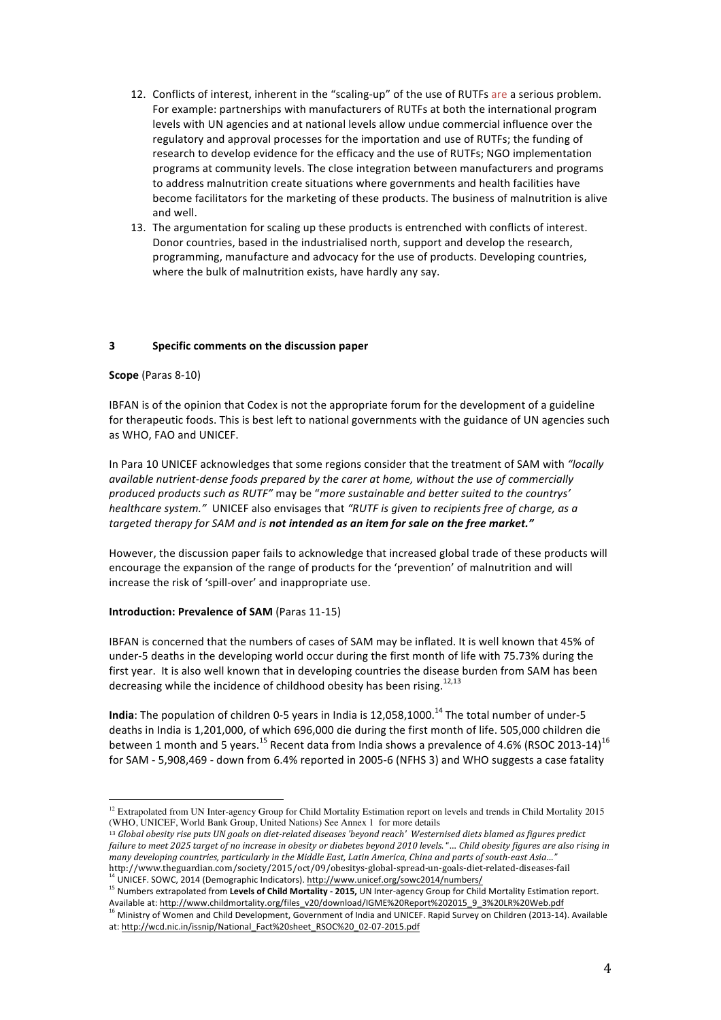- 12. Conflicts of interest, inherent in the "scaling-up" of the use of RUTFs are a serious problem. For example: partnerships with manufacturers of RUTFs at both the international program levels with UN agencies and at national levels allow undue commercial influence over the regulatory and approval processes for the importation and use of RUTFs; the funding of research to develop evidence for the efficacy and the use of RUTFs; NGO implementation programs at community levels. The close integration between manufacturers and programs to address malnutrition create situations where governments and health facilities have become facilitators for the marketing of these products. The business of malnutrition is alive and well.
- 13. The argumentation for scaling up these products is entrenched with conflicts of interest. Donor countries, based in the industrialised north, support and develop the research, programming, manufacture and advocacy for the use of products. Developing countries, where the bulk of malnutrition exists, have hardly any say.

### **3 Specific comments on the discussion paper**

#### **Scope** (Paras 8-10)

IBFAN is of the opinion that Codex is not the appropriate forum for the development of a guideline for therapeutic foods. This is best left to national governments with the guidance of UN agencies such as WHO, FAO and UNICEF.

In Para 10 UNICEF acknowledges that some regions consider that the treatment of SAM with "locally *available nutrient-dense foods prepared by the carer at home, without the use of commercially produced products such as RUTF"* may be "*more sustainable and better suited to the countrys' healthcare system."* UNICEF also envisages that "RUTF is given to recipients free of charge, as a targeted therapy for SAM and is not intended as an item for sale on the free market."

However, the discussion paper fails to acknowledge that increased global trade of these products will encourage the expansion of the range of products for the 'prevention' of malnutrition and will increase the risk of 'spill-over' and inappropriate use.

#### **Introduction: Prevalence of SAM (Paras 11-15)**

 

IBFAN is concerned that the numbers of cases of SAM may be inflated. It is well known that 45% of under-5 deaths in the developing world occur during the first month of life with 75.73% during the first year. It is also well known that in developing countries the disease burden from SAM has been decreasing while the incidence of childhood obesity has been rising.<sup>12,13</sup>

**India**: The population of children 0-5 years in India is 12,058,1000.<sup>14</sup> The total number of under-5 deaths in India is 1,201,000, of which 696,000 die during the first month of life. 505,000 children die between 1 month and 5 years.<sup>15</sup> Recent data from India shows a prevalence of 4.6% (RSOC 2013-14)<sup>16</sup> for SAM - 5,908,469 - down from 6.4% reported in 2005-6 (NFHS 3) and WHO suggests a case fatality

<sup>13</sup> Global obesity rise puts UN goals on diet-related diseases 'beyond reach' Westernised diets blamed as figures predict failure to meet 2025 target of no increase in obesity or diabetes beyond 2010 levels."... Child obesity figures are also rising in *many developing countries, particularly in the Middle East, Latin America, China and parts of south-east Asia…"* http://www.theguardian.com/society/2015/oct/09/obesitys-global-spread-un-goals-diet-related-diseases-fail <sup>14</sup> UNICEF. SOWC, 2014 (Demographic Indicators). http://www.unicef.org/sowc2014/numbers/

<sup>15</sup> Numbers extrapolated from Levels of Child Mortality - 2015, UN Inter-agency Group for Child Mortality Estimation report. Available at: http://www.childmortality.org/files\_v20/download/IGME%20Report%202015\_9\_3%20LR%20Web.pdf

 $12$  Extrapolated from UN Inter-agency Group for Child Mortality Estimation report on levels and trends in Child Mortality 2015 (WHO, UNICEF, World Bank Group, United Nations) See Annex 1 for more details

<sup>&</sup>lt;sup>16</sup> Ministry of Women and Child Development, Government of India and UNICEF. Rapid Survey on Children (2013-14). Available at: http://wcd.nic.in/issnip/National\_Fact%20sheet\_RSOC%20\_02-07-2015.pdf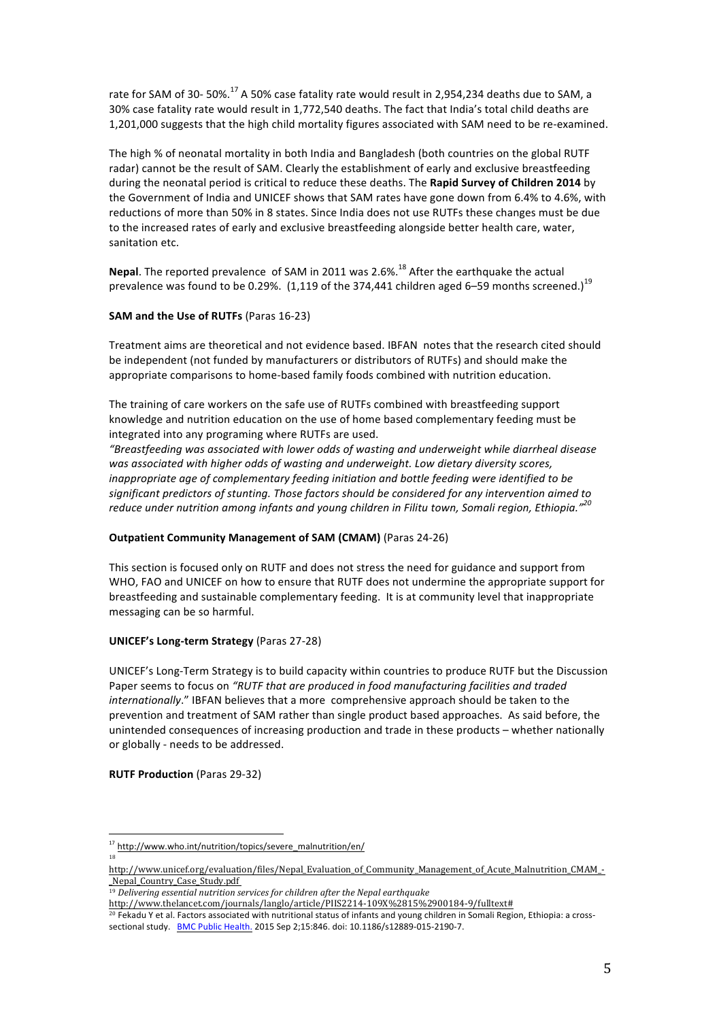rate for SAM of 30- 50%.<sup>17</sup> A 50% case fatality rate would result in 2,954,234 deaths due to SAM, a 30% case fatality rate would result in 1,772,540 deaths. The fact that India's total child deaths are 1,201,000 suggests that the high child mortality figures associated with SAM need to be re-examined.

The high % of neonatal mortality in both India and Bangladesh (both countries on the global RUTF radar) cannot be the result of SAM. Clearly the establishment of early and exclusive breastfeeding during the neonatal period is critical to reduce these deaths. The **Rapid Survey of Children 2014** by the Government of India and UNICEF shows that SAM rates have gone down from 6.4% to 4.6%, with reductions of more than 50% in 8 states. Since India does not use RUTFs these changes must be due to the increased rates of early and exclusive breastfeeding alongside better health care, water, sanitation etc.

**Nepal.** The reported prevalence of SAM in 2011 was 2.6%.<sup>18</sup> After the earthquake the actual prevalence was found to be 0.29%. (1,119 of the 374,441 children aged 6–59 months screened.)<sup>19</sup>

### **SAM and the Use of RUTFs** (Paras 16-23)

Treatment aims are theoretical and not evidence based. IBFAN notes that the research cited should be independent (not funded by manufacturers or distributors of RUTFs) and should make the appropriate comparisons to home-based family foods combined with nutrition education.

The training of care workers on the safe use of RUTFs combined with breastfeeding support knowledge and nutrition education on the use of home based complementary feeding must be integrated into any programing where RUTFs are used.

*"Breastfeeding was associated with lower odds of wasting and underweight while diarrheal disease*  was associated with higher odds of wasting and underweight. Low dietary diversity scores, *inappropriate age of complementary feeding initiation and bottle feeding were identified to be* significant predictors of stunting. Those factors should be considered for any intervention aimed to reduce under nutrition among infants and young children in Filitu town, Somali region, Ethiopia.<sup>"20</sup>

### **Outpatient Community Management of SAM (CMAM) (Paras 24-26)**

This section is focused only on RUTF and does not stress the need for guidance and support from WHO, FAO and UNICEF on how to ensure that RUTF does not undermine the appropriate support for breastfeeding and sustainable complementary feeding. It is at community level that inappropriate messaging can be so harmful.

### **UNICEF's Long-term Strategy** (Paras 27-28)

UNICEF's Long-Term Strategy is to build capacity within countries to produce RUTF but the Discussion Paper seems to focus on "RUTF that are produced in food manufacturing facilities and traded *internationally*." IBFAN believes that a more comprehensive approach should be taken to the prevention and treatment of SAM rather than single product based approaches. As said before, the unintended consequences of increasing production and trade in these products – whether nationally or globally - needs to be addressed.

#### **RUTF Production** (Paras 29-32)

 

18

<sup>17</sup> http://www.who.int/nutrition/topics/severe\_malnutrition/en/

http://www.unicef.org/evaluation/files/Nepal\_Evaluation\_of\_Community\_Management\_of\_Acute\_Malnutrition\_CMAM\_- \_Nepal\_Country\_Case\_Study.pdf

<sup>19</sup> *Delivering essential nutrition services for children after the Nepal earthquake*

http://www.thelancet.com/journals/langlo/article/PIIS2214-109X%2815%2900184-9/fulltext#

<sup>20</sup> Fekadu Y et al. Factors associated with nutritional status of infants and young children in Somali Region, Ethiopia: a crosssectional study. BMC Public Health. 2015 Sep 2;15:846. doi: 10.1186/s12889-015-2190-7.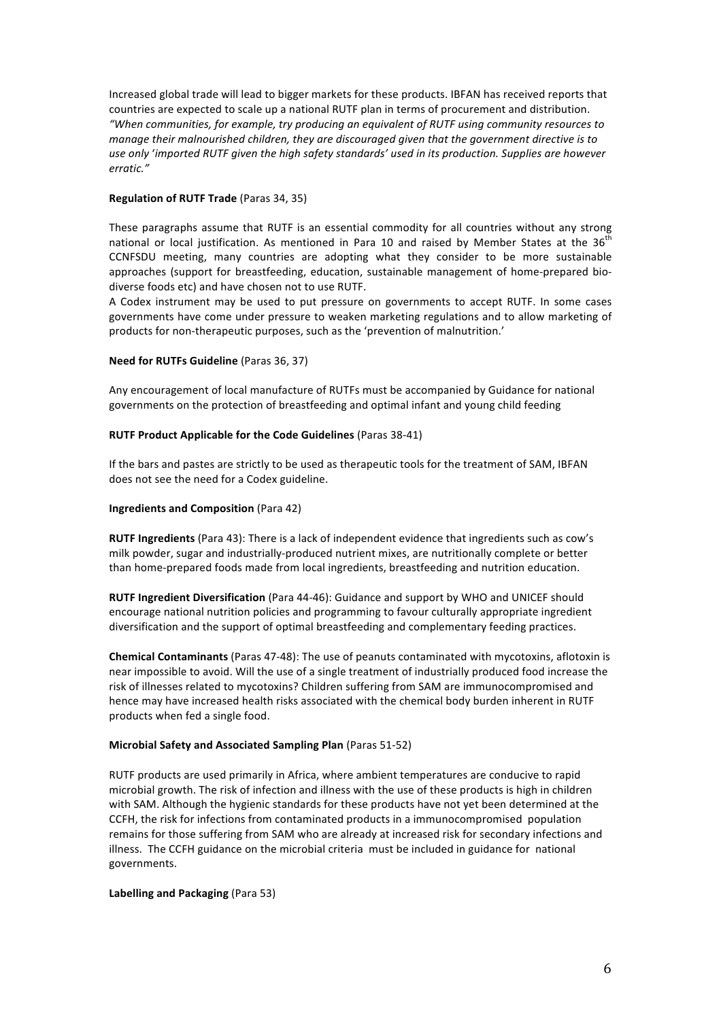Increased global trade will lead to bigger markets for these products. IBFAN has received reports that countries are expected to scale up a national RUTF plan in terms of procurement and distribution. *"When communities, for example, try producing an equivalent of RUTF using community resources to manage their malnourished children, they are discouraged given that the government directive is to* use only 'imported RUTF given the high safety standards' used in its production. Supplies are however *erratic."*

### **Regulation of RUTF Trade** (Paras 34, 35)

These paragraphs assume that RUTF is an essential commodity for all countries without any strong national or local justification. As mentioned in Para 10 and raised by Member States at the  $36<sup>th</sup>$ CCNFSDU meeting, many countries are adopting what they consider to be more sustainable approaches (support for breastfeeding, education, sustainable management of home-prepared biodiverse foods etc) and have chosen not to use RUTF.

A Codex instrument may be used to put pressure on governments to accept RUTF. In some cases governments have come under pressure to weaken marketing regulations and to allow marketing of products for non-therapeutic purposes, such as the 'prevention of malnutrition.'

#### **Need for RUTFs Guideline** (Paras 36, 37)

Any encouragement of local manufacture of RUTFs must be accompanied by Guidance for national governments on the protection of breastfeeding and optimal infant and young child feeding

#### **RUTF Product Applicable for the Code Guidelines** (Paras 38-41)

If the bars and pastes are strictly to be used as therapeutic tools for the treatment of SAM, IBFAN does not see the need for a Codex guideline.

### **Ingredients and Composition** (Para 42)

**RUTF Ingredients** (Para 43): There is a lack of independent evidence that ingredients such as cow's milk powder, sugar and industrially-produced nutrient mixes, are nutritionally complete or better than home-prepared foods made from local ingredients, breastfeeding and nutrition education.

**RUTF Ingredient Diversification** (Para 44-46): Guidance and support by WHO and UNICEF should encourage national nutrition policies and programming to favour culturally appropriate ingredient diversification and the support of optimal breastfeeding and complementary feeding practices.

**Chemical Contaminants** (Paras 47-48): The use of peanuts contaminated with mycotoxins, aflotoxin is near impossible to avoid. Will the use of a single treatment of industrially produced food increase the risk of illnesses related to mycotoxins? Children suffering from SAM are immunocompromised and hence may have increased health risks associated with the chemical body burden inherent in RUTF products when fed a single food.

#### **Microbial Safety and Associated Sampling Plan (Paras 51-52)**

RUTF products are used primarily in Africa, where ambient temperatures are conducive to rapid microbial growth. The risk of infection and illness with the use of these products is high in children with SAM. Although the hygienic standards for these products have not yet been determined at the CCFH, the risk for infections from contaminated products in a immunocompromised population remains for those suffering from SAM who are already at increased risk for secondary infections and illness. The CCFH guidance on the microbial criteria must be included in guidance for national governments. 

#### **Labelling and Packaging** (Para 53)